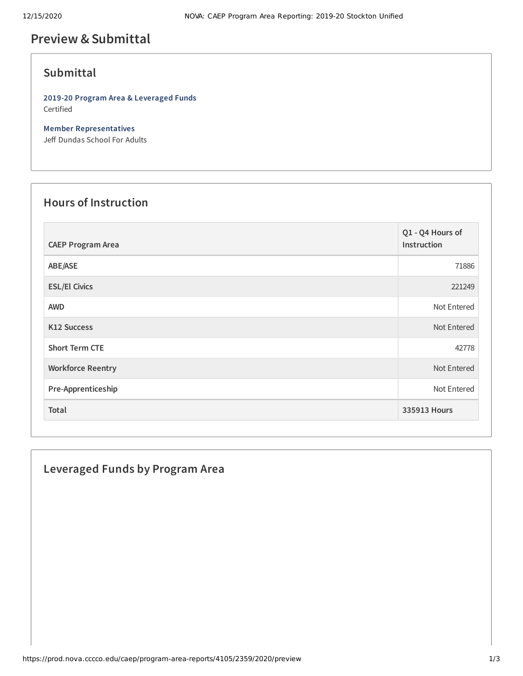## **Preview &Submittal**

## **Submittal**

**2019-20 Program Area & Leveraged Funds** Certified

**Member Representatives** Jeff Dundas School For Adults

#### **Hours of Instruction**

| <b>CAEP Program Area</b> | Q1 - Q4 Hours of<br>Instruction |
|--------------------------|---------------------------------|
| ABE/ASE                  | 71886                           |
| <b>ESL/El Civics</b>     | 221249                          |
| <b>AWD</b>               | Not Entered                     |
| <b>K12 Success</b>       | Not Entered                     |
| <b>Short Term CTE</b>    | 42778                           |
| <b>Workforce Reentry</b> | Not Entered                     |
| Pre-Apprenticeship       | Not Entered                     |
| Total                    | 335913 Hours                    |

### **Leveraged Funds by Program Area**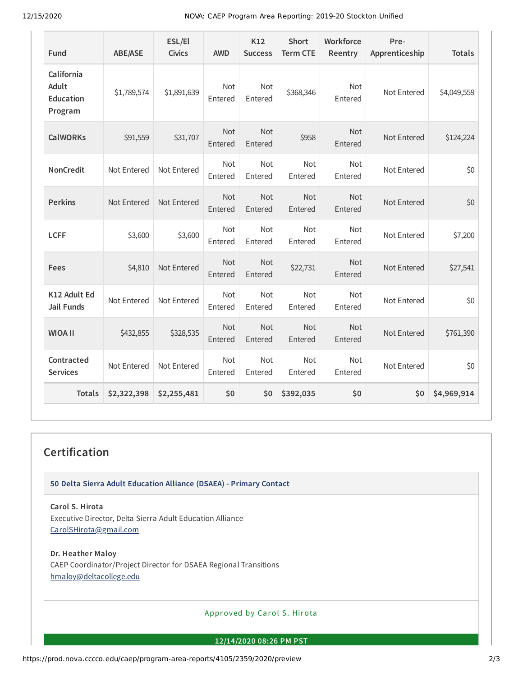12/15/2020 NOVA: CAEP Program Area Reporting: 2019-20 Stockton Unified

| <b>Fund</b>                                        | <b>ABE/ASE</b> | ESL/El<br><b>Civics</b> | <b>AWD</b>            | K12<br><b>Success</b> | Short<br><b>Term CTE</b> | Workforce<br>Reentry  | Pre-<br>Apprenticeship | <b>Totals</b> |
|----------------------------------------------------|----------------|-------------------------|-----------------------|-----------------------|--------------------------|-----------------------|------------------------|---------------|
| California<br>Adult<br><b>Education</b><br>Program | \$1,789,574    | \$1,891,639             | Not<br>Entered        | Not<br>Entered        | \$368,346                | Not<br>Entered        | Not Entered            | \$4,049,559   |
| <b>CalWORKs</b>                                    | \$91,559       | \$31,707                | <b>Not</b><br>Entered | <b>Not</b><br>Entered | \$958                    | <b>Not</b><br>Entered | Not Entered            | \$124,224     |
| <b>NonCredit</b>                                   | Not Entered    | Not Entered             | Not<br>Entered        | Not<br>Entered        | Not<br>Entered           | <b>Not</b><br>Entered | Not Entered            | \$0           |
| <b>Perkins</b>                                     | Not Entered    | Not Entered             | Not<br>Entered        | <b>Not</b><br>Entered | Not<br>Entered           | Not<br>Entered        | Not Entered            | \$0           |
| <b>LCFF</b>                                        | \$3,600        | \$3,600                 | <b>Not</b><br>Entered | <b>Not</b><br>Entered | <b>Not</b><br>Entered    | <b>Not</b><br>Entered | Not Entered            | \$7,200       |
| Fees                                               | \$4,810        | Not Entered             | Not<br>Entered        | <b>Not</b><br>Entered | \$22,731                 | <b>Not</b><br>Entered | Not Entered            | \$27,541      |
| K12 Adult Ed<br><b>Jail Funds</b>                  | Not Entered    | Not Entered             | Not<br>Entered        | Not<br>Entered        | Not<br>Entered           | Not<br>Entered        | Not Entered            | \$0           |
| <b>WIOA II</b>                                     | \$432,855      | \$328,535               | <b>Not</b><br>Entered | <b>Not</b><br>Entered | Not<br>Entered           | <b>Not</b><br>Entered | Not Entered            | \$761,390     |
| Contracted<br><b>Services</b>                      | Not Entered    | Not Entered             | Not<br>Entered        | Not<br>Entered        | Not<br>Entered           | Not<br>Entered        | Not Entered            | \$0           |
| <b>Totals</b>                                      | \$2,322,398    | \$2,255,481             | \$0                   | \$0                   | \$392,035                | \$0                   | \$0                    | \$4,969,914   |

# **Certification**

**50 Delta Sierra Adult Education Alliance (DSAEA) - Primary Contact**

**Carol S. Hirota**

Executive Director, Delta Sierra Adult Education Alliance [CarolSHirota@gmail.com](mailto:CarolSHirota@gmail.com)

**Dr. Heather Maloy**

CAEP Coordinator/Project Director for DSAEA Regional Transitions [hmaloy@deltacollege.edu](mailto:hmaloy@deltacollege.edu)

Approved by Carol S. Hirota

**12/14/2020 08:26 PM PST**